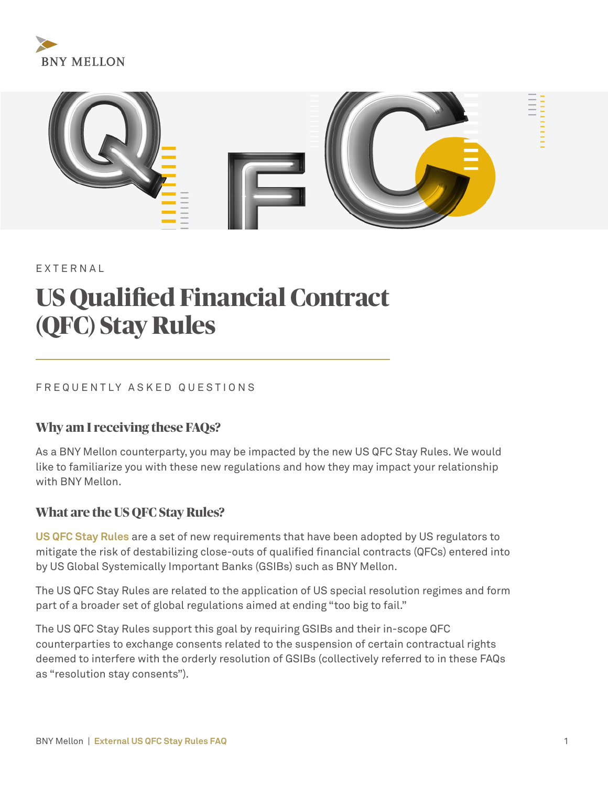



EXTERNAL

# **US Qualified Financial Contract (QFC) Stay Rules**

#### FREQUENTLY ASKED QUESTIONS

#### **Why am I receiving these FAQs?**

As a BNY Mellon counterparty, you may be impacted by the new US QFC Stay Rules. We would like to familiarize you with these new regulations and how they may impact your relationship with BNY Mellon.

#### **What are the US QFC Stay Rules?**

**US QFC Stay Rules** are a set of new requirements that have been adopted by US regulators to mitigate the risk of destabilizing close-outs of qualified financial contracts (QFCs) entered into by US Global Systemically Important Banks (GSIBs) such as BNY Mellon.

The US QFC Stay Rules are related to the application of US special resolution regimes and form part of a broader set of global regulations aimed at ending "too big to fail."

The US QFC Stay Rules support this goal by requiring GSIBs and their in-scope QFC counterparties to exchange consents related to the suspension of certain contractual rights deemed to interfere with the orderly resolution of GSIBs (collectively referred to in these FAQs as "resolution stay consents").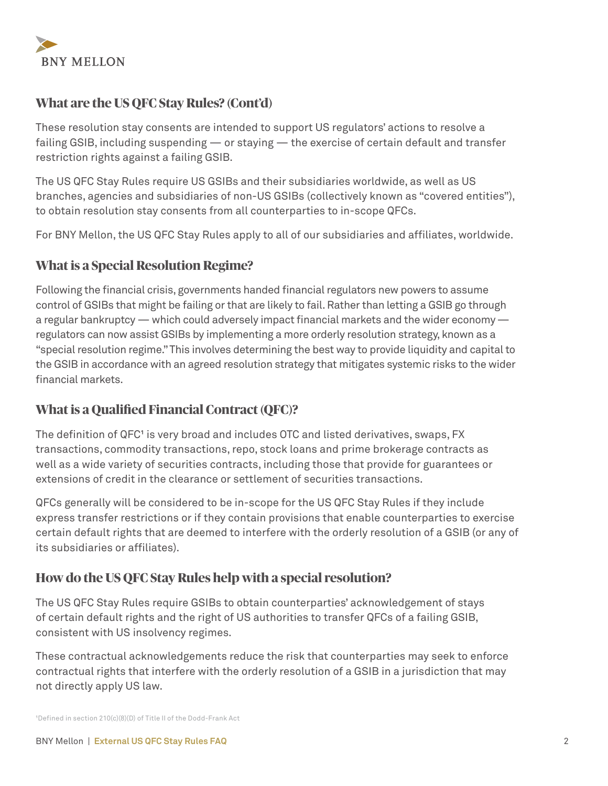

# **What are the US QFC Stay Rules? (Cont'd)**

These resolution stay consents are intended to support US regulators' actions to resolve a failing GSIB, including suspending — or staying — the exercise of certain default and transfer restriction rights against a failing GSIB.

The US QFC Stay Rules require US GSIBs and their subsidiaries worldwide, as well as US branches, agencies and subsidiaries of non-US GSIBs (collectively known as "covered entities"), to obtain resolution stay consents from all counterparties to in-scope QFCs.

For BNY Mellon, the US QFC Stay Rules apply to all of our subsidiaries and affiliates, worldwide.

# **What is a Special Resolution Regime?**

Following the financial crisis, governments handed financial regulators new powers to assume control of GSIBs that might be failing or that are likely to fail. Rather than letting a GSIB go through a regular bankruptcy — which could adversely impact financial markets and the wider economy regulators can now assist GSIBs by implementing a more orderly resolution strategy, known as a "special resolution regime." This involves determining the best way to provide liquidity and capital to the GSIB in accordance with an agreed resolution strategy that mitigates systemic risks to the wider financial markets.

# **What is a Qualified Financial Contract (QFC)?**

The definition of QFC<sup>1</sup> is very broad and includes OTC and listed derivatives, swaps, FX transactions, commodity transactions, repo, stock loans and prime brokerage contracts as well as a wide variety of securities contracts, including those that provide for guarantees or extensions of credit in the clearance or settlement of securities transactions.

QFCs generally will be considered to be in-scope for the US QFC Stay Rules if they include express transfer restrictions or if they contain provisions that enable counterparties to exercise certain default rights that are deemed to interfere with the orderly resolution of a GSIB (or any of its subsidiaries or affiliates).

#### **How do the US QFC Stay Rules help with a special resolution?**

The US QFC Stay Rules require GSIBs to obtain counterparties' acknowledgement of stays of certain default rights and the right of US authorities to transfer QFCs of a failing GSIB, consistent with US insolvency regimes.

These contractual acknowledgements reduce the risk that counterparties may seek to enforce contractual rights that interfere with the orderly resolution of a GSIB in a jurisdiction that may not directly apply US law.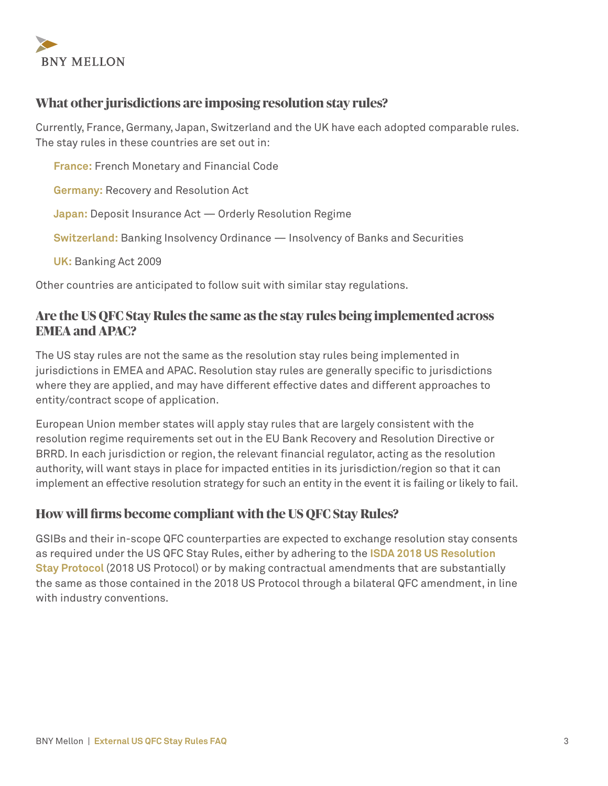

# **What other jurisdictions are imposing resolution stay rules?**

Currently, France, Germany, Japan, Switzerland and the UK have each adopted comparable rules. The stay rules in these countries are set out in:

**France:** French Monetary and Financial Code **Germany:** Recovery and Resolution Act **Japan:** Deposit Insurance Act — Orderly Resolution Regime **Switzerland:** Banking Insolvency Ordinance — Insolvency of Banks and Securities **UK:** Banking Act 2009

Other countries are anticipated to follow suit with similar stay regulations.

#### **Are the US QFC Stay Rules the same as the stay rules being implemented across EMEA and APAC?**

The US stay rules are not the same as the resolution stay rules being implemented in jurisdictions in EMEA and APAC. Resolution stay rules are generally specific to jurisdictions where they are applied, and may have different effective dates and different approaches to entity/contract scope of application.

European Union member states will apply stay rules that are largely consistent with the resolution regime requirements set out in the EU Bank Recovery and Resolution Directive or BRRD. In each jurisdiction or region, the relevant financial regulator, acting as the resolution authority, will want stays in place for impacted entities in its jurisdiction/region so that it can implement an effective resolution strategy for such an entity in the event it is failing or likely to fail.

#### **How will firms become compliant with the US QFC Stay Rules?**

GSIBs and their in-scope QFC counterparties are expected to exchange resolution stay consents as required under the US QFC Stay Rules, either by adhering to the **ISDA 2018 US Resolution Stay Protocol** (2018 US Protocol) or by making contractual amendments that are substantially the same as those contained in the 2018 US Protocol through a bilateral QFC amendment, in line with industry conventions.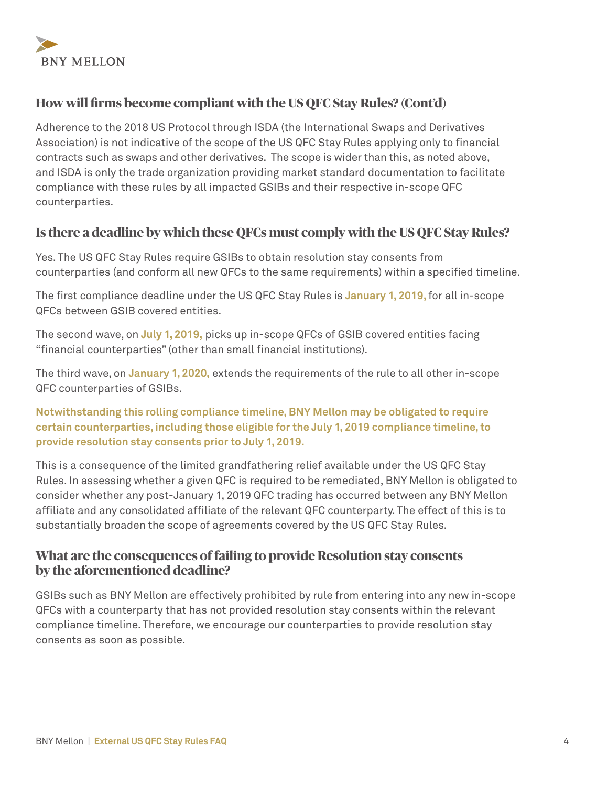

# **How will firms become compliant with the US QFC Stay Rules? (Cont'd)**

Adherence to the 2018 US Protocol through ISDA (the International Swaps and Derivatives Association) is not indicative of the scope of the US QFC Stay Rules applying only to financial contracts such as swaps and other derivatives. The scope is wider than this, as noted above, and ISDA is only the trade organization providing market standard documentation to facilitate compliance with these rules by all impacted GSIBs and their respective in-scope QFC counterparties.

# **Is there a deadline by which these QFCs must comply with the US QFC Stay Rules?**

Yes. The US QFC Stay Rules require GSIBs to obtain resolution stay consents from counterparties (and conform all new QFCs to the same requirements) within a specified timeline.

The first compliance deadline under the US QFC Stay Rules is **January 1, 2019,** for all in-scope QFCs between GSIB covered entities.

The second wave, on **July 1, 2019,** picks up in-scope QFCs of GSIB covered entities facing "financial counterparties" (other than small financial institutions).

The third wave, on **January 1, 2020,** extends the requirements of the rule to all other in-scope QFC counterparties of GSIBs.

**Notwithstanding this rolling compliance timeline, BNY Mellon may be obligated to require certain counterparties, including those eligible for the July 1, 2019 compliance timeline, to provide resolution stay consents prior to July 1, 2019.**

This is a consequence of the limited grandfathering relief available under the US QFC Stay Rules. In assessing whether a given QFC is required to be remediated, BNY Mellon is obligated to consider whether any post-January 1, 2019 QFC trading has occurred between any BNY Mellon affiliate and any consolidated affiliate of the relevant QFC counterparty. The effect of this is to substantially broaden the scope of agreements covered by the US QFC Stay Rules.

# **What are the consequences of failing to provide Resolution stay consents by the aforementioned deadline?**

GSIBs such as BNY Mellon are effectively prohibited by rule from entering into any new in-scope QFCs with a counterparty that has not provided resolution stay consents within the relevant compliance timeline. Therefore, we encourage our counterparties to provide resolution stay consents as soon as possible.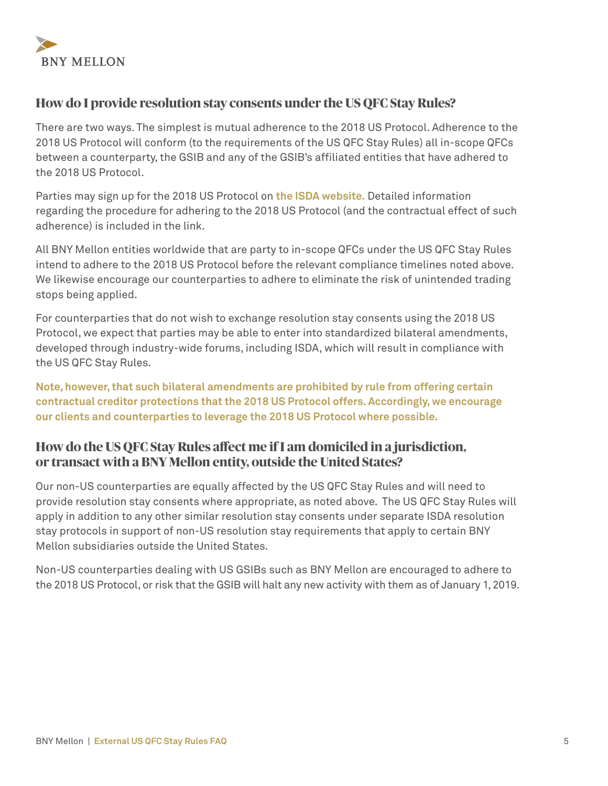

## **How do I provide resolution stay consents under the US QFC Stay Rules?**

There are two ways. The simplest is mutual adherence to the 2018 US Protocol. Adherence to the 2018 US Protocol will conform (to the requirements of the US QFC Stay Rules) all in-scope QFCs between a counterparty, the GSIB and any of the GSIB's affiliated entities that have adhered to the 2018 US Protocol.

Parties may sign up for the 2018 US Protocol on **[the ISDA website.](https://www.isda.org/protocol/isda-2018-us-resolution-stay-protocol/)** Detailed information regarding the procedure for adhering to the 2018 US Protocol (and the contractual effect of such adherence) is included in the link.

All BNY Mellon entities worldwide that are party to in-scope QFCs under the US QFC Stay Rules intend to adhere to the 2018 US Protocol before the relevant compliance timelines noted above. We likewise encourage our counterparties to adhere to eliminate the risk of unintended trading stops being applied.

For counterparties that do not wish to exchange resolution stay consents using the 2018 US Protocol, we expect that parties may be able to enter into standardized bilateral amendments, developed through industry-wide forums, including ISDA, which will result in compliance with the US QFC Stay Rules.

**Note, however, that such bilateral amendments are prohibited by rule from offering certain contractual creditor protections that the 2018 US Protocol offers. Accordingly, we encourage our clients and counterparties to leverage the 2018 US Protocol where possible.**

# **How do the US QFC Stay Rules affect me if I am domiciled in a jurisdiction, or transact with a BNY Mellon entity, outside the United States?**

Our non-US counterparties are equally affected by the US QFC Stay Rules and will need to provide resolution stay consents where appropriate, as noted above. The US QFC Stay Rules will apply in addition to any other similar resolution stay consents under separate ISDA resolution stay protocols in support of non-US resolution stay requirements that apply to certain BNY Mellon subsidiaries outside the United States.

Non-US counterparties dealing with US GSIBs such as BNY Mellon are encouraged to adhere to the 2018 US Protocol, or risk that the GSIB will halt any new activity with them as of January 1, 2019.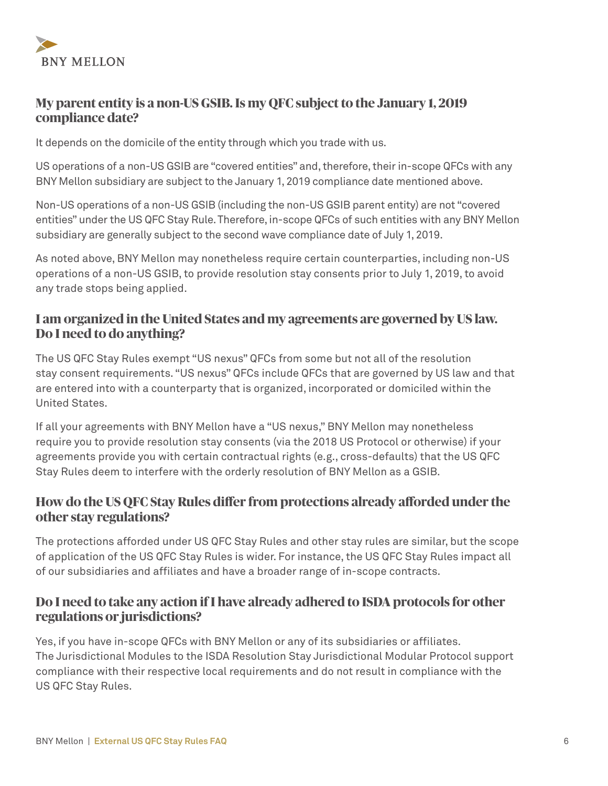

# **My parent entity is a non-US GSIB. Is my QFC subject to the January 1, 2019 compliance date?**

It depends on the domicile of the entity through which you trade with us.

US operations of a non-US GSIB are "covered entities" and, therefore, their in-scope QFCs with any BNY Mellon subsidiary are subject to the January 1, 2019 compliance date mentioned above.

Non-US operations of a non-US GSIB (including the non-US GSIB parent entity) are not "covered entities" under the US QFC Stay Rule. Therefore, in-scope QFCs of such entities with any BNY Mellon subsidiary are generally subject to the second wave compliance date of July 1, 2019.

As noted above, BNY Mellon may nonetheless require certain counterparties, including non-US operations of a non-US GSIB, to provide resolution stay consents prior to July 1, 2019, to avoid any trade stops being applied.

#### **I am organized in the United States and my agreements are governed by US law. Do I need to do anything?**

The US QFC Stay Rules exempt "US nexus" QFCs from some but not all of the resolution stay consent requirements. "US nexus" QFCs include QFCs that are governed by US law and that are entered into with a counterparty that is organized, incorporated or domiciled within the United States.

If all your agreements with BNY Mellon have a "US nexus," BNY Mellon may nonetheless require you to provide resolution stay consents (via the 2018 US Protocol or otherwise) if your agreements provide you with certain contractual rights (e.g., cross-defaults) that the US QFC Stay Rules deem to interfere with the orderly resolution of BNY Mellon as a GSIB.

# **How do the US QFC Stay Rules differ from protections already afforded under the other stay regulations?**

The protections afforded under US QFC Stay Rules and other stay rules are similar, but the scope of application of the US QFC Stay Rules is wider. For instance, the US QFC Stay Rules impact all of our subsidiaries and affiliates and have a broader range of in-scope contracts.

# **Do I need to take any action if I have already adhered to ISDA protocols for other regulations or jurisdictions?**

Yes, if you have in-scope QFCs with BNY Mellon or any of its subsidiaries or affiliates. The Jurisdictional Modules to the ISDA Resolution Stay Jurisdictional Modular Protocol support compliance with their respective local requirements and do not result in compliance with the US QFC Stay Rules.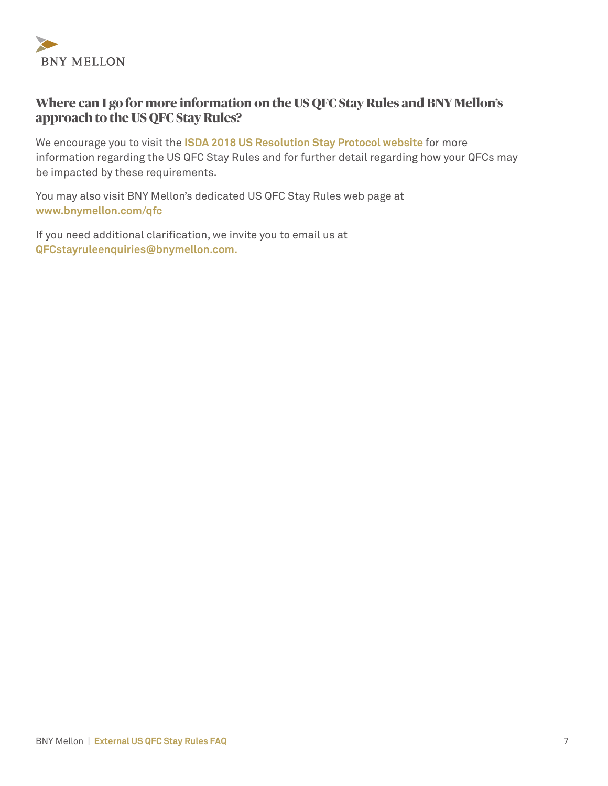

# **Where can I go for more information on the US QFC Stay Rules and BNY Mellon's approach to the US QFC Stay Rules?**

We encourage you to visit the **[ISDA 2018 US Resolution Stay Protocol website](https://www.isda.org/protocol/isda-2018-us-resolution-stay-protocol/)** for more information regarding the US QFC Stay Rules and for further detail regarding how your QFCs may be impacted by these requirements.

You may also visit BNY Mellon's dedicated US QFC Stay Rules web page at **[www.bnymellon.com/qfc](http://www.bnymellon.com/qfc)**

If you need additional clarification, we invite you to email us at **[QFCstayruleenquiries@bnymellon.com.](mailto:QFCstayruleenquiries@bnymellon.com)**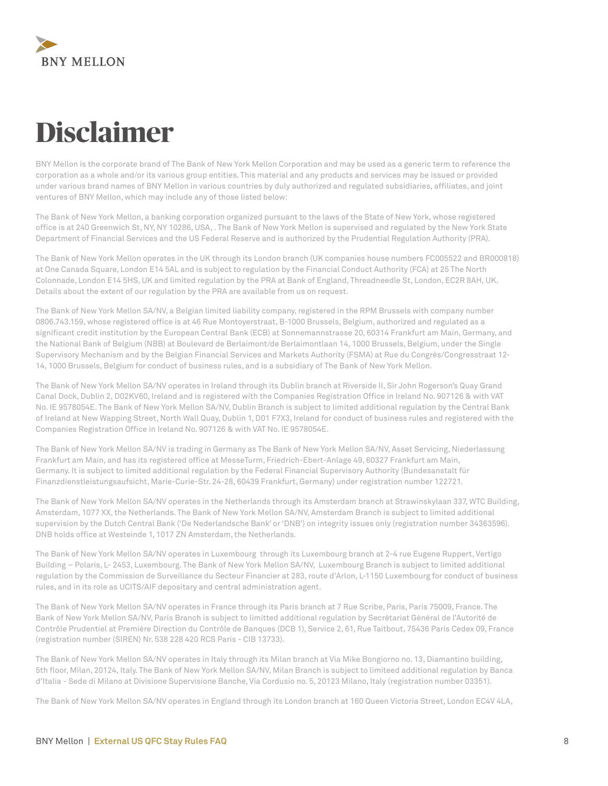

# **Disclaimer**

BNY Mellon is the corporate brand of The Bank of New York Mellon Corporation and may be used as a generic term to reference the corporation as a whole and/or its various group entities. This material and any products and services may be issued or provided under various brand names of BNY Mellon in various countries by duly authorized and regulated subsidiaries, affiliates, and joint ventures of BNY Mellon, which may include any of those listed below:

The Bank of New York Mellon, a banking corporation organized pursuant to the laws of the State of New York, whose registered office is at 240 Greenwich St, NY, NY 10286, USA, . The Bank of New York Mellon is supervised and regulated by the New York State Department of Financial Services and the US Federal Reserve and is authorized by the Prudential Regulation Authority (PRA).

The Bank of New York Mellon operates in the UK through its London branch (UK companies house numbers FC005522 and BR000818) at One Canada Square, London E14 5AL and is subject to regulation by the Financial Conduct Authority (FCA) at 25 The North Colonnade, London E14 5HS, UK and limited regulation by the PRA at Bank of England, Threadneedle St, London, EC2R 8AH, UK. Details about the extent of our regulation by the PRA are available from us on request.

The Bank of New York Mellon SA/NV, a Belgian limited liability company, registered in the RPM Brussels with company number 0806.743.159, whose registered office is at 46 Rue Montoyerstraat, B-1000 Brussels, Belgium, authorized and regulated as a significant credit institution by the European Central Bank (ECB) at Sonnemannstrasse 20, 60314 Frankfurt am Main, Germany, and the National Bank of Belgium (NBB) at Boulevard de Berlaimont/de Berlaimontlaan 14, 1000 Brussels, Belgium, under the Single Supervisory Mechanism and by the Belgian Financial Services and Markets Authority (FSMA) at Rue du Congrès/Congresstraat 12- 14, 1000 Brussels, Belgium for conduct of business rules, and is a subsidiary of The Bank of New York Mellon.

The Bank of New York Mellon SA/NV operates in Ireland through its Dublin branch at Riverside II, Sir John Rogerson's Quay Grand Canal Dock, Dublin 2, D02KV60, Ireland and is registered with the Companies Registration Office in Ireland No. 907126 & with VAT No. IE 9578054E. The Bank of New York Mellon SA/NV, Dublin Branch is subject to limited additional regulation by the Central Bank of Ireland at New Wapping Street, North Wall Quay, Dublin 1, D01 F7X3, Ireland for conduct of business rules and registered with the Companies Registration Office in Ireland No. 907126 & with VAT No. IE 9578054E.

The Bank of New York Mellon SA/NV is trading in Germany as The Bank of New York Mellon SA/NV, Asset Servicing, Niederlassung Frankfurt am Main, and has its registered office at MesseTurm, Friedrich-Ebert-Anlage 49, 60327 Frankfurt am Main, Germany. It is subject to limited additional regulation by the Federal Financial Supervisory Authority (Bundesanstalt für Finanzdienstleistungsaufsicht, Marie-Curie-Str. 24-28, 60439 Frankfurt, Germany) under registration number 122721.

The Bank of New York Mellon SA/NV operates in the Netherlands through its Amsterdam branch at Strawinskylaan 337, WTC Building, Amsterdam, 1077 XX, the Netherlands. The Bank of New York Mellon SA/NV, Amsterdam Branch is subject to limited additional supervision by the Dutch Central Bank ('De Nederlandsche Bank' or 'DNB') on integrity issues only (registration number 34363596). DNB holds office at Westeinde 1, 1017 ZN Amsterdam, the Netherlands.

The Bank of New York Mellon SA/NV operates in Luxembourg through its Luxembourg branch at 2-4 rue Eugene Ruppert, Vertigo Building – Polaris, L- 2453, Luxembourg. The Bank of New York Mellon SA/NV, Luxembourg Branch is subject to limited additional regulation by the Commission de Surveillance du Secteur Financier at 283, route d'Arlon, L-1150 Luxembourg for conduct of business rules, and in its role as UCITS/AIF depositary and central administration agent.

The Bank of New York Mellon SA/NV operates in France through its Paris branch at 7 Rue Scribe, Paris, Paris 75009, France. The Bank of New York Mellon SA/NV, Paris Branch is subject to limitted additional regulation by Secrétariat Général de l'Autorité de Contrôle Prudentiel at Première Direction du Contrôle de Banques (DCB 1), Service 2, 61, Rue Taitbout, 75436 Paris Cedex 09, France (registration number (SIREN) Nr. 538 228 420 RCS Paris - CIB 13733).

The Bank of New York Mellon SA/NV operates in Italy through its Milan branch at Via Mike Bongiorno no. 13, Diamantino building, 5th floor, Milan, 20124, Italy. The Bank of New York Mellon SA/NV, Milan Branch is subject to limiteed additional regulation by Banca d'Italia - Sede di Milano at Divisione Supervisione Banche, Via Cordusio no. 5, 20123 Milano, Italy (registration number 03351).

The Bank of New York Mellon SA/NV operates in England through its London branch at 160 Queen Victoria Street, London EC4V 4LA,